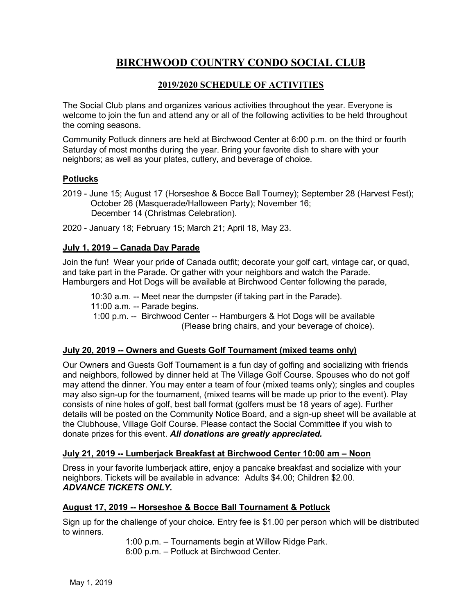# **BIRCHWOOD COUNTRY CONDO SOCIAL CLUB**

# **2019/2020 SCHEDULE OF ACTIVITIES**

The Social Club plans and organizes various activities throughout the year. Everyone is welcome to join the fun and attend any or all of the following activities to be held throughout the coming seasons.

Community Potluck dinners are held at Birchwood Center at 6:00 p.m. on the third or fourth Saturday of most months during the year. Bring your favorite dish to share with your neighbors; as well as your plates, cutlery, and beverage of choice.

# **Potlucks**

- 2019 June 15; August 17 (Horseshoe & Bocce Ball Tourney); September 28 (Harvest Fest); October 26 (Masquerade/Halloween Party); November 16; December 14 (Christmas Celebration).
- 2020 January 18; February 15; March 21; April 18, May 23.

## **July 1, 2019 – Canada Day Parade**

Join the fun! Wear your pride of Canada outfit; decorate your golf cart, vintage car, or quad, and take part in the Parade. Or gather with your neighbors and watch the Parade. Hamburgers and Hot Dogs will be available at Birchwood Center following the parade,

10:30 a.m. -- Meet near the dumpster (if taking part in the Parade).

11:00 a.m. -- Parade begins.

1:00 p.m. -- Birchwood Center -- Hamburgers & Hot Dogs will be available (Please bring chairs, and your beverage of choice).

#### **July 20, 2019 -- Owners and Guests Golf Tournament (mixed teams only)**

Our Owners and Guests Golf Tournament is a fun day of golfing and socializing with friends and neighbors, followed by dinner held at The Village Golf Course. Spouses who do not golf may attend the dinner. You may enter a team of four (mixed teams only); singles and couples may also sign-up for the tournament, (mixed teams will be made up prior to the event). Play consists of nine holes of golf, best ball format (golfers must be 18 years of age). Further details will be posted on the Community Notice Board, and a sign-up sheet will be available at the Clubhouse, Village Golf Course. Please contact the Social Committee if you wish to donate prizes for this event. *All donations are greatly appreciated.*

#### **July 21, 2019 -- Lumberjack Breakfast at Birchwood Center 10:00 am – Noon**

Dress in your favorite lumberjack attire, enjoy a pancake breakfast and socialize with your neighbors. Tickets will be available in advance: Adults \$4.00; Children \$2.00. *ADVANCE TICKETS ONLY.*

## **August 17, 2019 -- Horseshoe & Bocce Ball Tournament & Potluck**

Sign up for the challenge of your choice. Entry fee is \$1.00 per person which will be distributed to winners.

> 1:00 p.m. – Tournaments begin at Willow Ridge Park. 6:00 p.m. – Potluck at Birchwood Center.